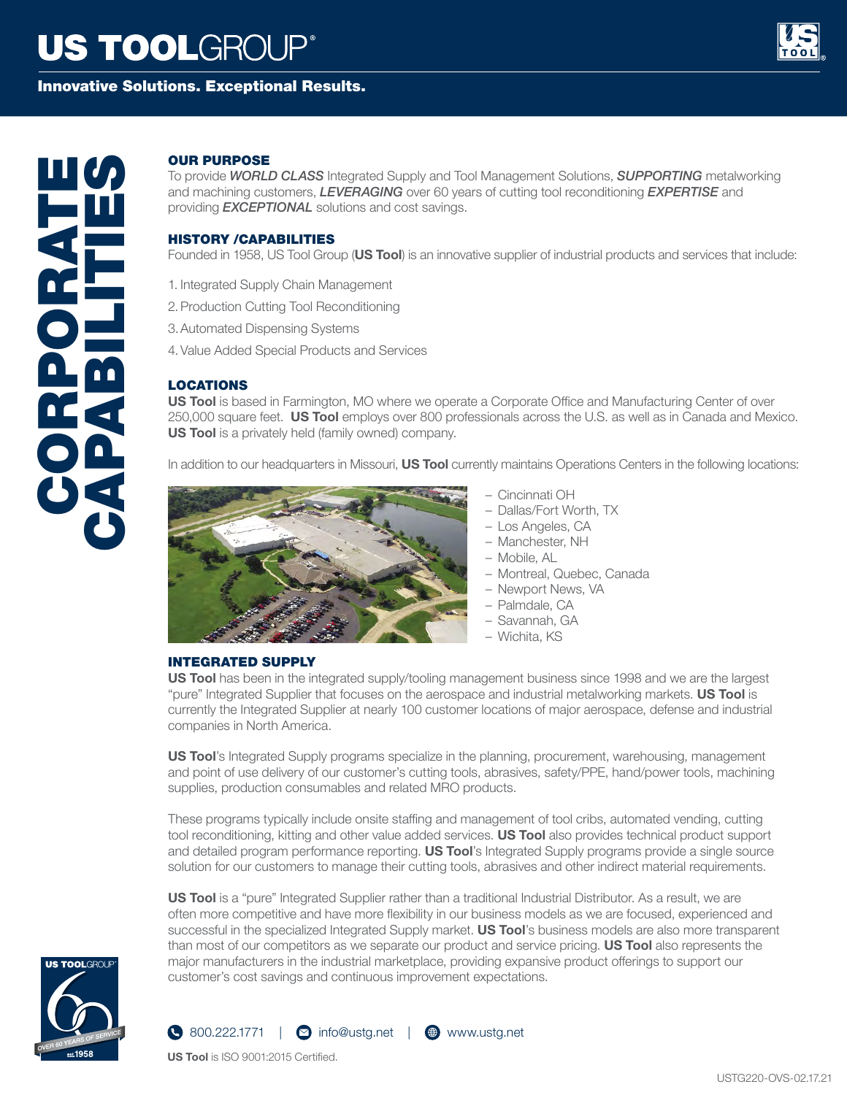# **US TOOLGROUP®**

## Innovative Solutions. Exceptional Results.



# **OUR PURPOSE**<br>To provide WORLD<br>providing EXCEPT<br>providing EXCEPT<br>HISTORY /CAPA<br>Founded in 1958, U<br>1. Integrated Supply<br>2. Production Cutting<br>4. Value Added Spe<br>4. Value Added Spe<br>4. Value Added Spe<br>1950,000 square fee<br>US T

To provide *WORLD CLASS* Integrated Supply and Tool Management Solutions, *SUPPORTING* metalworking and machining customers, *LEVERAGING* over 60 years of cutting tool reconditioning *EXPERTISE* and providing *EXCEPTIONAL* solutions and cost savings.

### HISTORY /CAPABILITIES

Founded in 1958, US Tool Group (**US Tool**) is an innovative supplier of industrial products and services that include:

- 1. Integrated Supply Chain Management
- 2.Production Cutting Tool Reconditioning
- 3.Automated Dispensing Systems
- 4.Value Added Special Products and Services

### LOCATIONS

**US Tool** is based in Farmington, MO where we operate a Corporate Office and Manufacturing Center of over 250,000 square feet. **US Tool** employs over 800 professionals across the U.S. as well as in Canada and Mexico. **US Tool** is a privately held (family owned) company.

In addition to our headquarters in Missouri, **US Tool** currently maintains Operations Centers in the following locations:



- Cincinnati OH
- Dallas/Fort Worth, TX
- Los Angeles, CA
- Manchester, NH
- Mobile, AL
- Montreal, Quebec, Canada
- Newport News, VA
- Palmdale, CA
- Savannah, GA
- Wichita, KS

### INTEGRATED SUPPLY

**US Tool** has been in the integrated supply/tooling management business since 1998 and we are the largest "pure" Integrated Supplier that focuses on the aerospace and industrial metalworking markets. **US Tool** is currently the Integrated Supplier at nearly 100 customer locations of major aerospace, defense and industrial companies in North America.

**US Tool**'s Integrated Supply programs specialize in the planning, procurement, warehousing, management and point of use delivery of our customer's cutting tools, abrasives, safety/PPE, hand/power tools, machining supplies, production consumables and related MRO products.

These programs typically include onsite staffing and management of tool cribs, automated vending, cutting tool reconditioning, kitting and other value added services. **US Tool** also provides technical product support and detailed program performance reporting. **US Tool**'s Integrated Supply programs provide a single source solution for our customers to manage their cutting tools, abrasives and other indirect material requirements.

**US Tool** is a "pure" Integrated Supplier rather than a traditional Industrial Distributor. As a result, we are often more competitive and have more flexibility in our business models as we are focused, experienced and successful in the specialized Integrated Supply market. **US Tool**'s business models are also more transparent than most of our competitors as we separate our product and service pricing. **US Tool** also represents the major manufacturers in the industrial marketplace, providing expansive product offerings to support our customer's cost savings and continuous improvement expectations.





**US Tool** is ISO 9001:2015 Certified.